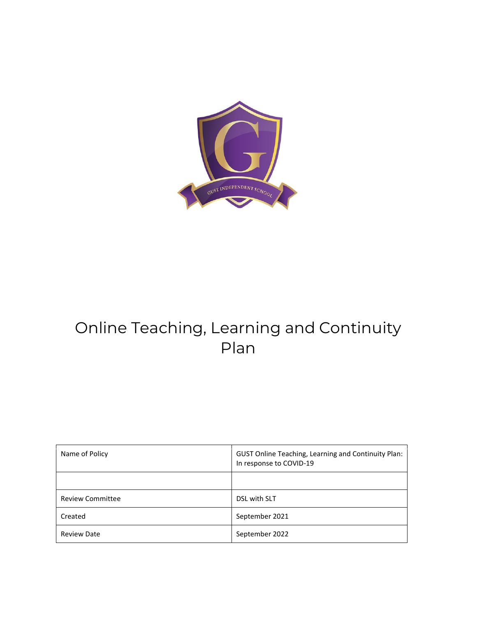

# Online Teaching, Learning and Continuity Plan

| Name of Policy          | GUST Online Teaching, Learning and Continuity Plan:<br>In response to COVID-19 |
|-------------------------|--------------------------------------------------------------------------------|
|                         |                                                                                |
| <b>Review Committee</b> | DSL with SLT                                                                   |
| Created                 | September 2021                                                                 |
| <b>Review Date</b>      | September 2022                                                                 |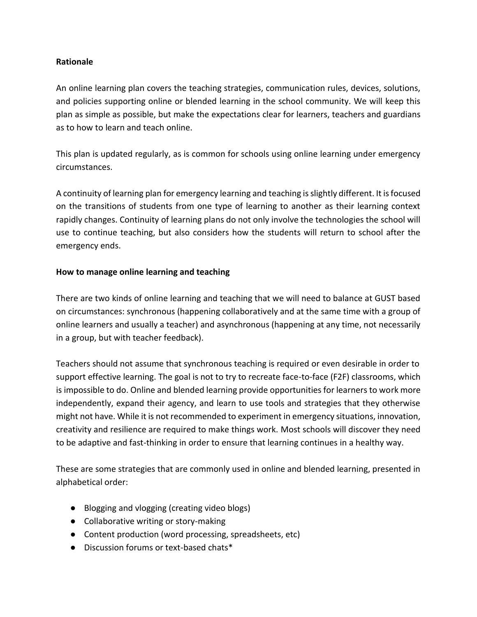#### **Rationale**

An online learning plan covers the teaching strategies, communication rules, devices, solutions, and policies supporting online or blended learning in the school community. We will keep this plan as simple as possible, but make the expectations clear for learners, teachers and guardians as to how to learn and teach online.

This plan is updated regularly, as is common for schools using online learning under emergency circumstances.

A continuity of learning plan for emergency learning and teaching is slightly different. It is focused on the transitions of students from one type of learning to another as their learning context rapidly changes. Continuity of learning plans do not only involve the technologies the school will use to continue teaching, but also considers how the students will return to school after the emergency ends.

#### **How to manage online learning and teaching**

There are two kinds of online learning and teaching that we will need to balance at GUST based on circumstances: synchronous (happening collaboratively and at the same time with a group of online learners and usually a teacher) and asynchronous (happening at any time, not necessarily in a group, but with teacher feedback).

Teachers should not assume that synchronous teaching is required or even desirable in order to support effective learning. The goal is not to try to recreate face-to-face (F2F) classrooms, which is impossible to do. Online and blended learning provide opportunities for learners to work more independently, expand their agency, and learn to use tools and strategies that they otherwise might not have. While it is not recommended to experiment in emergency situations, innovation, creativity and resilience are required to make things work. Most schools will discover they need to be adaptive and fast-thinking in order to ensure that learning continues in a healthy way.

These are some strategies that are commonly used in online and blended learning, presented in alphabetical order:

- Blogging and vlogging (creating video blogs)
- Collaborative writing or story-making
- Content production (word processing, spreadsheets, etc)
- Discussion forums or text-based chats\*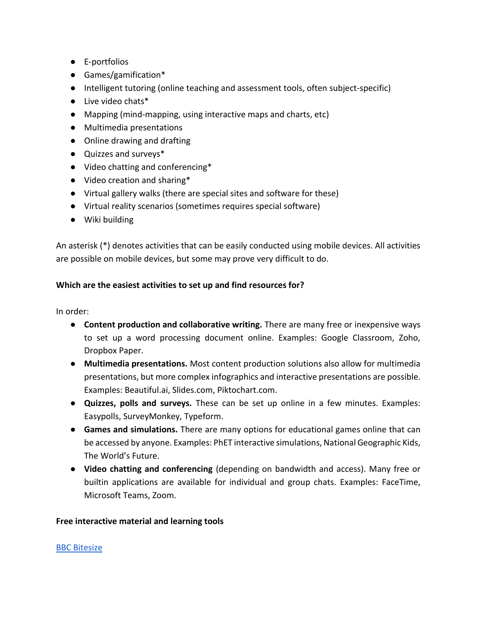- E-portfolios
- Games/gamification\*
- Intelligent tutoring (online teaching and assessment tools, often subject-specific)
- Live video chats\*
- Mapping (mind-mapping, using interactive maps and charts, etc)
- Multimedia presentations
- Online drawing and drafting
- Quizzes and surveys\*
- Video chatting and conferencing\*
- Video creation and sharing\*
- Virtual gallery walks (there are special sites and software for these)
- Virtual reality scenarios (sometimes requires special software)
- Wiki building

An asterisk (\*) denotes activities that can be easily conducted using mobile devices. All activities are possible on mobile devices, but some may prove very difficult to do.

# **Which are the easiest activities to set up and find resources for?**

In order:

- **Content production and collaborative writing.** There are many free or inexpensive ways to set up a word processing document online. Examples: Google Classroom, Zoho, Dropbox Paper.
- **Multimedia presentations.** Most content production solutions also allow for multimedia presentations, but more complex infographics and interactive presentations are possible. Examples: Beautiful.ai, Slides.com, Piktochart.com.
- **Quizzes, polls and surveys.** These can be set up online in a few minutes. Examples: Easypolls, SurveyMonkey, Typeform.
- **Games and simulations.** There are many options for educational games online that can be accessed by anyone. Examples: PhET interactive simulations, National Geographic Kids, The World's Future.
- **Video chatting and conferencing** (depending on bandwidth and access). Many free or builtin applications are available for individual and group chats. Examples: FaceTime, Microsoft Teams, Zoom.

#### **Free interactive material and learning tools**

#### [BBC Bitesize](https://www.bbc.co.uk/bitesize)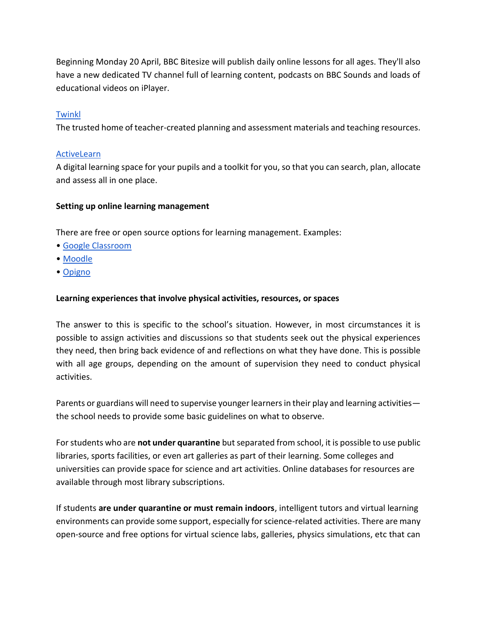Beginning Monday 20 April, BBC Bitesize will publish daily online lessons for all ages. They'll also have a new dedicated TV channel full of learning content, podcasts on BBC Sounds and loads of educational videos on iPlayer.

# **[Twinkl](https://www.twinkl.co.uk/)**

The trusted home of teacher-created planning and assessment materials and teaching resources.

## **[ActiveLearn](https://www.activelearnprimary.co.uk/)**

A digital learning space for your pupils and a toolkit for you, so that you can search, plan, allocate and assess all in one place.

#### **Setting up online learning management**

There are free or open source options for learning management. Examples:

- [Google Classroom](https://classroom.google.com/)
- [Moodle](http://moodle.org/)
- [Opigno](https://www.opigno.org/en)

#### **Learning experiences that involve physical activities, resources, or spaces**

The answer to this is specific to the school's situation. However, in most circumstances it is possible to assign activities and discussions so that students seek out the physical experiences they need, then bring back evidence of and reflections on what they have done. This is possible with all age groups, depending on the amount of supervision they need to conduct physical activities.

Parents or guardians will need to supervise younger learners in their play and learning activities the school needs to provide some basic guidelines on what to observe.

For students who are **not under quarantine** but separated from school, it is possible to use public libraries, sports facilities, or even art galleries as part of their learning. Some colleges and universities can provide space for science and art activities. Online databases for resources are available through most library subscriptions.

If students **are under quarantine or must remain indoors**, intelligent tutors and virtual learning environments can provide some support, especially for science-related activities. There are many open-source and free options for virtual science labs, galleries, physics simulations, etc that can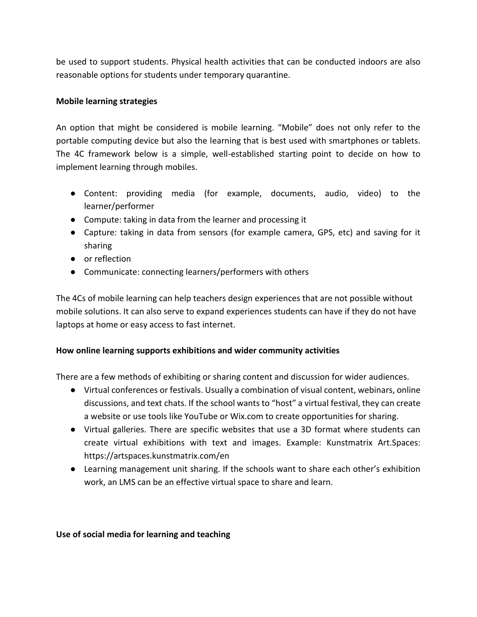be used to support students. Physical health activities that can be conducted indoors are also reasonable options for students under temporary quarantine.

#### **Mobile learning strategies**

An option that might be considered is mobile learning. "Mobile" does not only refer to the portable computing device but also the learning that is best used with smartphones or tablets. The 4C framework below is a simple, well-established starting point to decide on how to implement learning through mobiles.

- Content: providing media (for example, documents, audio, video) to the learner/performer
- Compute: taking in data from the learner and processing it
- Capture: taking in data from sensors (for example camera, GPS, etc) and saving for it sharing
- or reflection
- Communicate: connecting learners/performers with others

The 4Cs of mobile learning can help teachers design experiences that are not possible without mobile solutions. It can also serve to expand experiences students can have if they do not have laptops at home or easy access to fast internet.

# **How online learning supports exhibitions and wider community activities**

There are a few methods of exhibiting or sharing content and discussion for wider audiences.

- Virtual conferences or festivals. Usually a combination of visual content, webinars, online discussions, and text chats. If the school wants to "host" a virtual festival, they can create a website or use tools like YouTube or Wix.com to create opportunities for sharing.
- Virtual galleries. There are specific websites that use a 3D format where students can create virtual exhibitions with text and images. Example: Kunstmatrix Art.Spaces: https://artspaces.kunstmatrix.com/en
- Learning management unit sharing. If the schools want to share each other's exhibition work, an LMS can be an effective virtual space to share and learn.

#### **Use of social media for learning and teaching**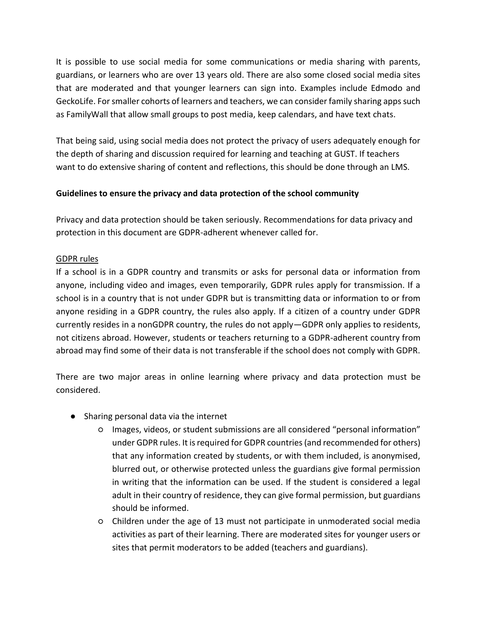It is possible to use social media for some communications or media sharing with parents, guardians, or learners who are over 13 years old. There are also some closed social media sites that are moderated and that younger learners can sign into. Examples include Edmodo and GeckoLife. For smaller cohorts of learners and teachers, we can consider family sharing apps such as FamilyWall that allow small groups to post media, keep calendars, and have text chats.

That being said, using social media does not protect the privacy of users adequately enough for the depth of sharing and discussion required for learning and teaching at GUST. If teachers want to do extensive sharing of content and reflections, this should be done through an LMS.

# **Guidelines to ensure the privacy and data protection of the school community**

Privacy and data protection should be taken seriously. Recommendations for data privacy and protection in this document are GDPR-adherent whenever called for.

# GDPR rules

If a school is in a GDPR country and transmits or asks for personal data or information from anyone, including video and images, even temporarily, GDPR rules apply for transmission. If a school is in a country that is not under GDPR but is transmitting data or information to or from anyone residing in a GDPR country, the rules also apply. If a citizen of a country under GDPR currently resides in a nonGDPR country, the rules do not apply—GDPR only applies to residents, not citizens abroad. However, students or teachers returning to a GDPR-adherent country from abroad may find some of their data is not transferable if the school does not comply with GDPR.

There are two major areas in online learning where privacy and data protection must be considered.

- Sharing personal data via the internet
	- Images, videos, or student submissions are all considered "personal information" under GDPR rules. It is required for GDPR countries (and recommended for others) that any information created by students, or with them included, is anonymised, blurred out, or otherwise protected unless the guardians give formal permission in writing that the information can be used. If the student is considered a legal adult in their country of residence, they can give formal permission, but guardians should be informed.
	- Children under the age of 13 must not participate in unmoderated social media activities as part of their learning. There are moderated sites for younger users or sites that permit moderators to be added (teachers and guardians).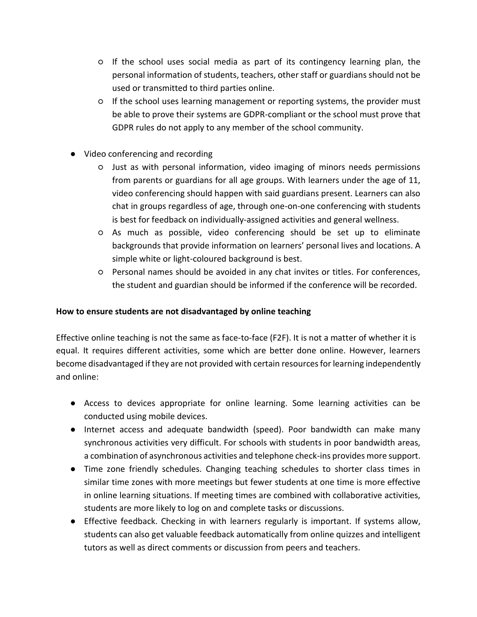- If the school uses social media as part of its contingency learning plan, the personal information of students, teachers, other staff or guardians should not be used or transmitted to third parties online.
- If the school uses learning management or reporting systems, the provider must be able to prove their systems are GDPR-compliant or the school must prove that GDPR rules do not apply to any member of the school community.
- Video conferencing and recording
	- Just as with personal information, video imaging of minors needs permissions from parents or guardians for all age groups. With learners under the age of 11, video conferencing should happen with said guardians present. Learners can also chat in groups regardless of age, through one-on-one conferencing with students is best for feedback on individually-assigned activities and general wellness.
	- As much as possible, video conferencing should be set up to eliminate backgrounds that provide information on learners' personal lives and locations. A simple white or light-coloured background is best.
	- Personal names should be avoided in any chat invites or titles. For conferences, the student and guardian should be informed if the conference will be recorded.

## **How to ensure students are not disadvantaged by online teaching**

Effective online teaching is not the same as face-to-face (F2F). It is not a matter of whether it is equal. It requires different activities, some which are better done online. However, learners become disadvantaged if they are not provided with certain resources for learning independently and online:

- Access to devices appropriate for online learning. Some learning activities can be conducted using mobile devices.
- Internet access and adequate bandwidth (speed). Poor bandwidth can make many synchronous activities very difficult. For schools with students in poor bandwidth areas, a combination of asynchronous activities and telephone check-ins provides more support.
- Time zone friendly schedules. Changing teaching schedules to shorter class times in similar time zones with more meetings but fewer students at one time is more effective in online learning situations. If meeting times are combined with collaborative activities, students are more likely to log on and complete tasks or discussions.
- Effective feedback. Checking in with learners regularly is important. If systems allow, students can also get valuable feedback automatically from online quizzes and intelligent tutors as well as direct comments or discussion from peers and teachers.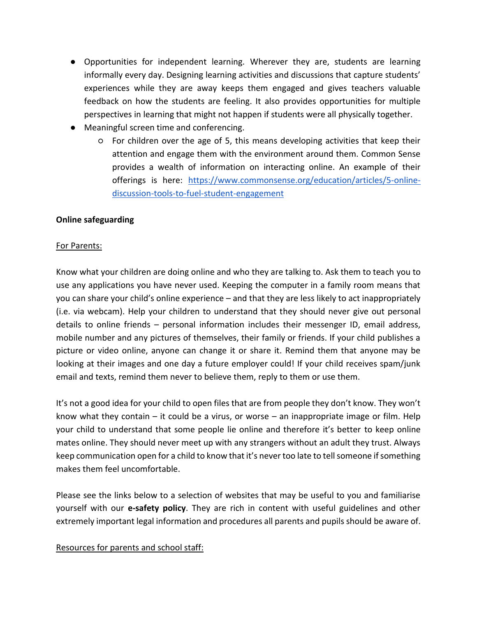- Opportunities for independent learning. Wherever they are, students are learning informally every day. Designing learning activities and discussions that capture students' experiences while they are away keeps them engaged and gives teachers valuable feedback on how the students are feeling. It also provides opportunities for multiple perspectives in learning that might not happen if students were all physically together.
- Meaningful screen time and conferencing.
	- For children over the age of 5, this means developing activities that keep their attention and engage them with the environment around them. Common Sense provides a wealth of information on interacting online. An example of their offerings is here: [https://www.commonsense.org/education/articles/5-online](https://www.commonsense.org/education/articles/5-online-discussion-tools-to-fuel-student-engagement)[discussion-tools-to-fuel-student-engagement](https://www.commonsense.org/education/articles/5-online-discussion-tools-to-fuel-student-engagement)

#### **Online safeguarding**

#### For Parents:

Know what your children are doing online and who they are talking to. Ask them to teach you to use any applications you have never used. Keeping the computer in a family room means that you can share your child's online experience – and that they are less likely to act inappropriately (i.e. via webcam). Help your children to understand that they should never give out personal details to online friends – personal information includes their messenger ID, email address, mobile number and any pictures of themselves, their family or friends. If your child publishes a picture or video online, anyone can change it or share it. Remind them that anyone may be looking at their images and one day a future employer could! If your child receives spam/junk email and texts, remind them never to believe them, reply to them or use them.

It's not a good idea for your child to open files that are from people they don't know. They won't know what they contain – it could be a virus, or worse – an inappropriate image or film. Help your child to understand that some people lie online and therefore it's better to keep online mates online. They should never meet up with any strangers without an adult they trust. Always keep communication open for a child to know that it's never too late to tell someone if something makes them feel uncomfortable.

Please see the links below to a selection of websites that may be useful to you and familiarise yourself with our **e-safety policy**. They are rich in content with useful guidelines and other extremely important legal information and procedures all parents and pupils should be aware of.

#### Resources for parents and school staff: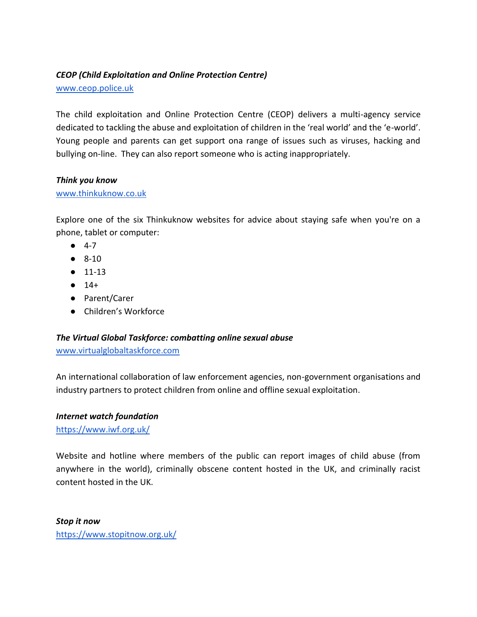# *CEOP (Child Exploitation and Online Protection Centre)*

[www.ceop.police.uk](http://www.ceop.police.uk/)

The child exploitation and Online Protection Centre (CEOP) delivers a multi-agency service dedicated to tackling the abuse and exploitation of children in the 'real world' and the 'e-world'. Young people and parents can get support ona range of issues such as viruses, hacking and bullying on-line. They can also report someone who is acting inappropriately.

#### *Think you know*

#### [www.thinkuknow.co.uk](http://www.thinkuknow.co.uk/)

Explore one of the six Thinkuknow websites for advice about staying safe when you're on a phone, tablet or computer:

- 4-7
- 8-10
- 11-13
- $14+$
- Parent/Carer
- Children's Workforce

# *The Virtual Global Taskforce: combatting online sexual abuse*

[www.virtualglobaltaskforce.com](http://www.virtualglobaltaskforce.com/)

An international collaboration of law enforcement agencies, non-government organisations and industry partners to protect children from online and offline sexual exploitation.

# *Internet watch foundation*

<https://www.iwf.org.uk/>

Website and hotline where members of the public can report images of child abuse (from anywhere in the world), criminally obscene content hosted in the UK, and criminally racist content hosted in the UK.

*Stop it now* <https://www.stopitnow.org.uk/>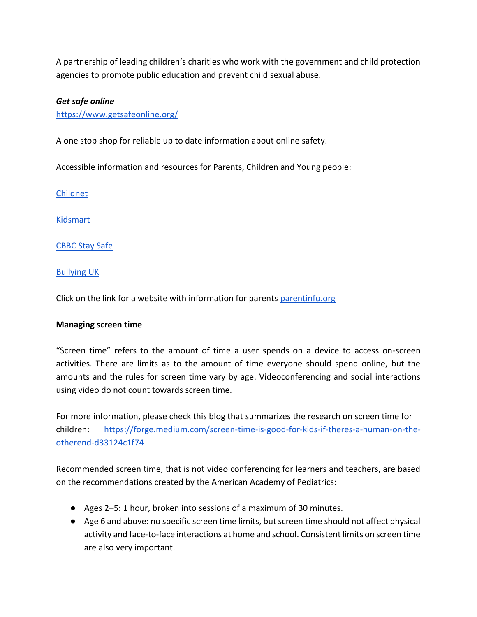A partnership of leading children's charities who work with the government and child protection agencies to promote public education and prevent child sexual abuse.

#### *Get safe online*

<https://www.getsafeonline.org/>

A one stop shop for reliable up to date information about online safety.

Accessible information and resources for Parents, Children and Young people:

[Childnet](http://www.childnet.com/)

[Kidsmart](http://www.kidsmart.org.uk/)

#### [CBBC Stay Safe](http://www.bbc.co.uk/cbbc/curations/stay-safe)

#### [Bullying UK](http://www.bullying.co.uk/)

Click on the link for a website with information for parents [parentinfo.org](https://parentinfo.org/)

#### **Managing screen time**

"Screen time" refers to the amount of time a user spends on a device to access on-screen activities. There are limits as to the amount of time everyone should spend online, but the amounts and the rules for screen time vary by age. Videoconferencing and social interactions using video do not count towards screen time.

For more information, please check this blog that summarizes the research on screen time for children: [https://forge.medium.com/screen-time-is-good-for-kids-if-theres-a-human-on-the](https://forge.medium.com/screen-time-is-good-for-kids-if-theres-a-human-on-the-otherend-d33124c1f74)[otherend-d33124c1f74](https://forge.medium.com/screen-time-is-good-for-kids-if-theres-a-human-on-the-otherend-d33124c1f74)

Recommended screen time, that is not video conferencing for learners and teachers, are based on the recommendations created by the American Academy of Pediatrics:

- Ages 2–5: 1 hour, broken into sessions of a maximum of 30 minutes.
- Age 6 and above: no specific screen time limits, but screen time should not affect physical activity and face-to-face interactions at home and school. Consistent limits on screen time are also very important.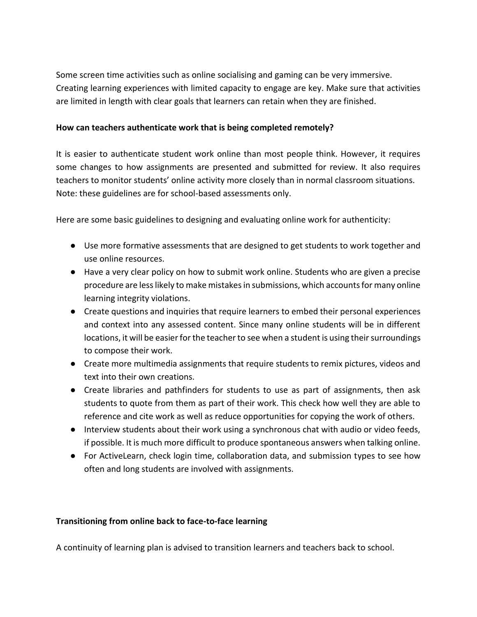Some screen time activities such as online socialising and gaming can be very immersive. Creating learning experiences with limited capacity to engage are key. Make sure that activities are limited in length with clear goals that learners can retain when they are finished.

## **How can teachers authenticate work that is being completed remotely?**

It is easier to authenticate student work online than most people think. However, it requires some changes to how assignments are presented and submitted for review. It also requires teachers to monitor students' online activity more closely than in normal classroom situations. Note: these guidelines are for school-based assessments only.

Here are some basic guidelines to designing and evaluating online work for authenticity:

- Use more formative assessments that are designed to get students to work together and use online resources.
- Have a very clear policy on how to submit work online. Students who are given a precise procedure are less likely to make mistakes in submissions, which accounts for many online learning integrity violations.
- Create questions and inquiries that require learners to embed their personal experiences and context into any assessed content. Since many online students will be in different locations, it will be easier for the teacher to see when a student is using their surroundings to compose their work.
- Create more multimedia assignments that require students to remix pictures, videos and text into their own creations.
- Create libraries and pathfinders for students to use as part of assignments, then ask students to quote from them as part of their work. This check how well they are able to reference and cite work as well as reduce opportunities for copying the work of others.
- Interview students about their work using a synchronous chat with audio or video feeds, if possible. It is much more difficult to produce spontaneous answers when talking online.
- For ActiveLearn, check login time, collaboration data, and submission types to see how often and long students are involved with assignments.

#### **Transitioning from online back to face-to-face learning**

A continuity of learning plan is advised to transition learners and teachers back to school.